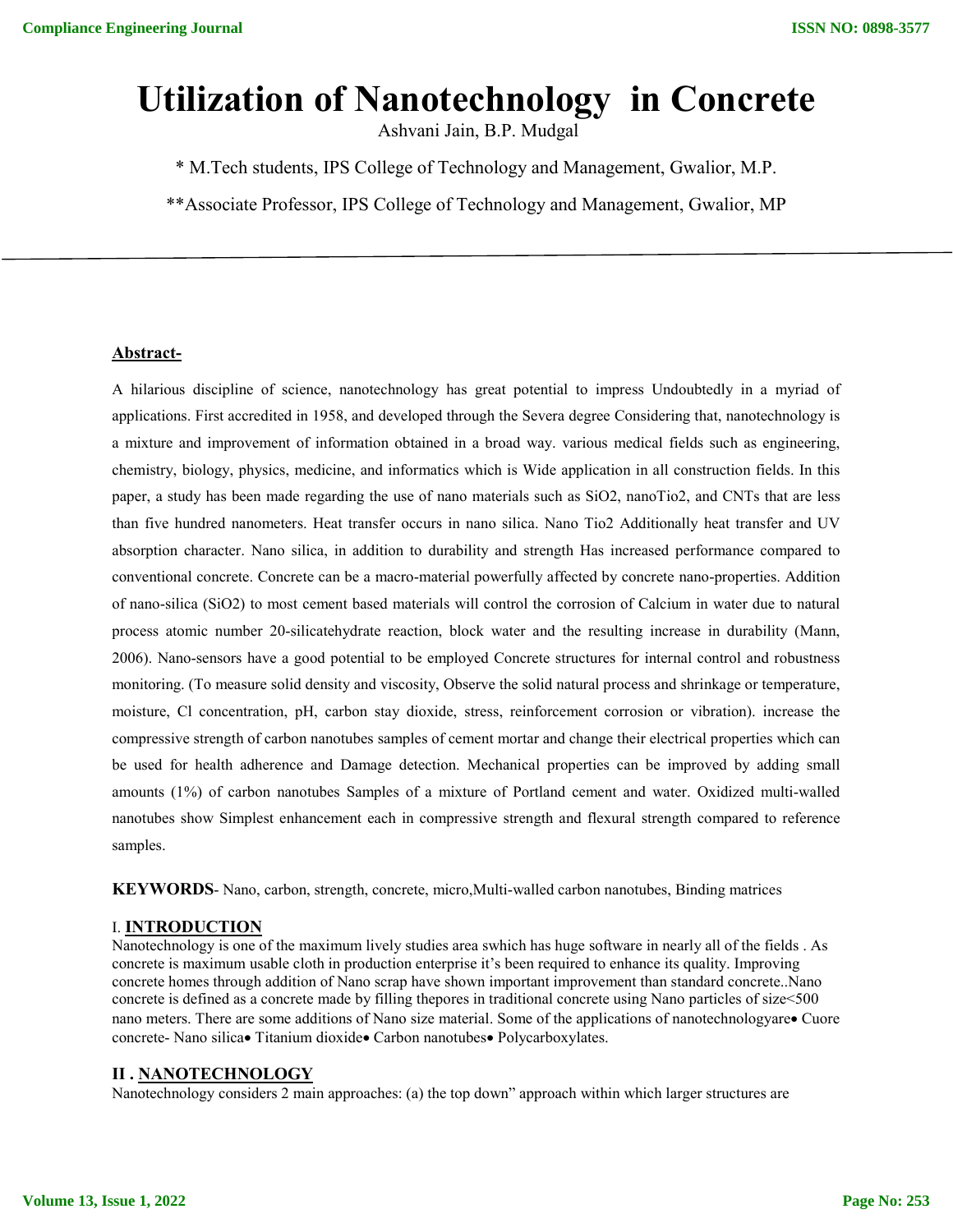# **Utilization of Nanotechnology in Concrete**

Ashvani Jain, B.P. Mudgal

\* M.Tech students, IPS College of Technology and Management, Gwalior, M.P.

\*\*Associate Professor, IPS College of Technology and Management, Gwalior, MP

#### **Abstract-**

A hilarious discipline of science, nanotechnology has great potential to impress Undoubtedly in a myriad of applications. First accredited in 1958, and developed through the Severa degree Considering that, nanotechnology is a mixture and improvement of information obtained in a broad way. various medical fields such as engineering, chemistry, biology, physics, medicine, and informatics which is Wide application in all construction fields. In this paper, a study has been made regarding the use of nano materials such as SiO2, nanoTio2, and CNTs that are less than five hundred nanometers. Heat transfer occurs in nano silica. Nano Tio2 Additionally heat transfer and UV absorption character. Nano silica, in addition to durability and strength Has increased performance compared to conventional concrete. Concrete can be a macro-material powerfully affected by concrete nano-properties. Addition of nano-silica (SiO2) to most cement based materials will control the corrosion of Calcium in water due to natural process atomic number 20-silicatehydrate reaction, block water and the resulting increase in durability (Mann, 2006). Nano-sensors have a good potential to be employed Concrete structures for internal control and robustness monitoring. (To measure solid density and viscosity, Observe the solid natural process and shrinkage or temperature, moisture, Cl concentration, pH, carbon stay dioxide, stress, reinforcement corrosion or vibration). increase the compressive strength of carbon nanotubes samples of cement mortar and change their electrical properties which can be used for health adherence and Damage detection. Mechanical properties can be improved by adding small amounts (1%) of carbon nanotubes Samples of a mixture of Portland cement and water. Oxidized multi-walled nanotubes show Simplest enhancement each in compressive strength and flexural strength compared to reference samples.

**KEYWORDS**- Nano, carbon, strength, concrete, micro,Multi-walled carbon nanotubes, Binding matrices

#### I. **INTRODUCTION**

Nanotechnology is one of the maximum lively studies area swhich has huge software in nearly all of the fields . As concrete is maximum usable cloth in production enterprise it's been required to enhance its quality. Improving concrete homes through addition of Nano scrap have shown important improvement than standard concrete..Nano concrete is defined as a concrete made by filling thepores in traditional concrete using Nano particles of size<500 nano meters. There are some additions of Nano size material. Some of the applications of nanotechnologyare Cuore concrete- Nano silica Titanium dioxide Carbon nanotubes Polycarboxylates.

#### **II . NANOTECHNOLOGY**

Nanotechnology considers 2 main approaches: (a) the top down" approach within which larger structures are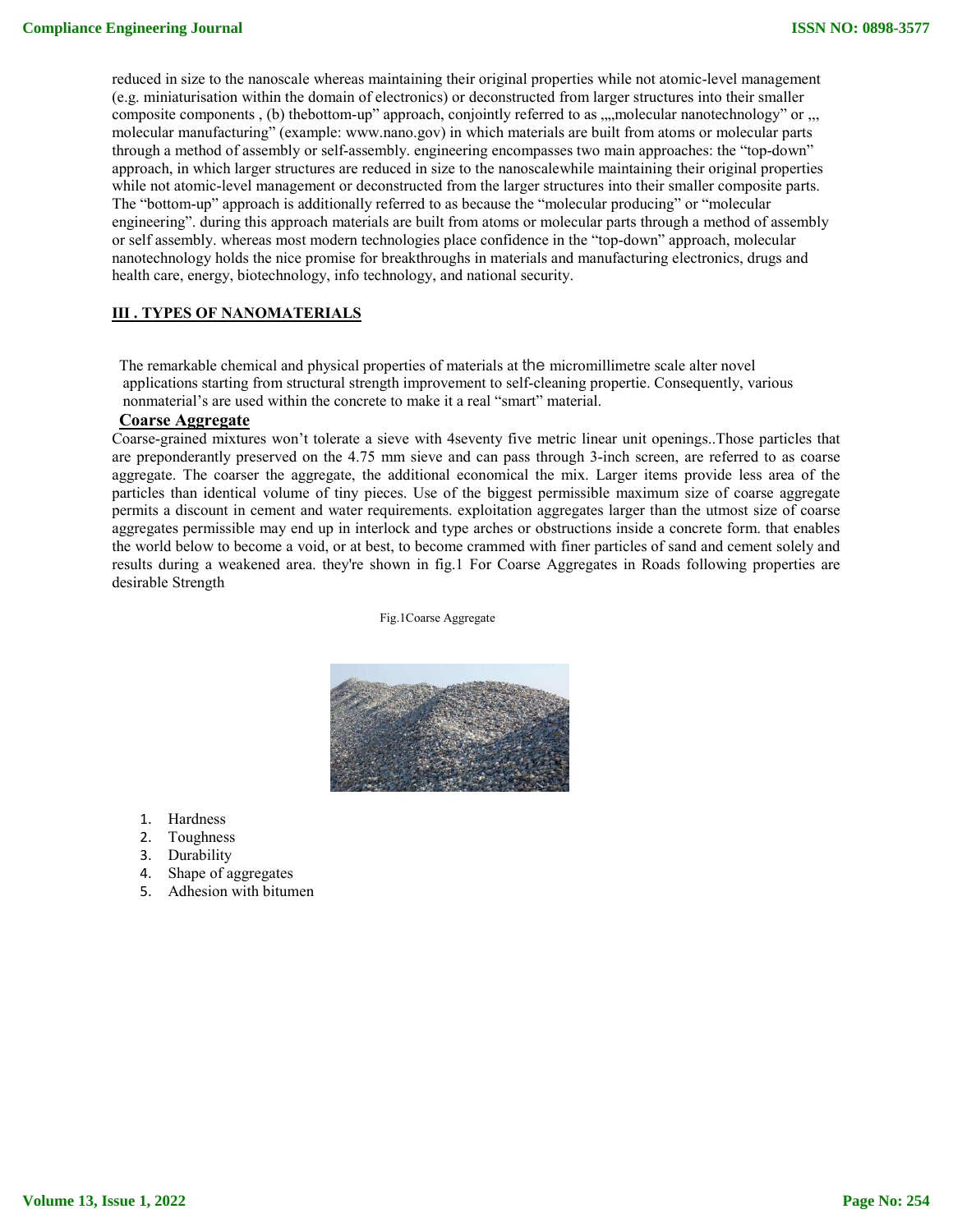reduced in size to the nanoscale whereas maintaining their original properties while not atomic-level management (e.g. miniaturisation within the domain of electronics) or deconstructed from larger structures into their smaller composite components , (b) the bottom-up" approach, conjointly referred to as , ,,, molecular nanotechnology" or ,,, molecular manufacturing" (example: www.nano.gov) in which materials are built from atoms or molecular parts through a method of assembly or self-assembly. engineering encompasses two main approaches: the "top-down" approach, in which larger structures are reduced in size to the nanoscalewhile maintaining their original properties while not atomic-level management or deconstructed from the larger structures into their smaller composite parts. The "bottom-up" approach is additionally referred to as because the "molecular producing" or "molecular engineering". during this approach materials are built from atoms or molecular parts through a method of assembly or self assembly. whereas most modern technologies place confidence in the "top-down" approach, molecular nanotechnology holds the nice promise for breakthroughs in materials and manufacturing electronics, drugs and health care, energy, biotechnology, info technology, and national security.

# **III . TYPES OF NANOMATERIALS**

The remarkable chemical and physical properties of materials at the micromillimetre scale alter novel applications starting from structural strength improvement to self-cleaning propertie. Consequently, various nonmaterial's are used within the concrete to make it a real "smart" material.

#### **Coarse Aggregate**

Coarse-grained mixtures won't tolerate a sieve with 4seventy five metric linear unit openings..Those particles that are preponderantly preserved on the 4.75 mm sieve and can pass through 3-inch screen, are referred to as coarse aggregate. The coarser the aggregate, the additional economical the mix. Larger items provide less area of the particles than identical volume of tiny pieces. Use of the biggest permissible maximum size of coarse aggregate permits a discount in cement and water requirements. exploitation aggregates larger than the utmost size of coarse aggregates permissible may end up in interlock and type arches or obstructions inside a concrete form. that enables the world below to become a void, or at best, to become crammed with finer particles of sand and cement solely and results during a weakened area. they're shown in fig.1 For Coarse Aggregates in Roads following properties are desirable Strength

Fig.1Coarse Aggregate



- 1. Hardness
- 2. Toughness
- 3. Durability
- 4. Shape of aggregates
- 5. Adhesion with bitumen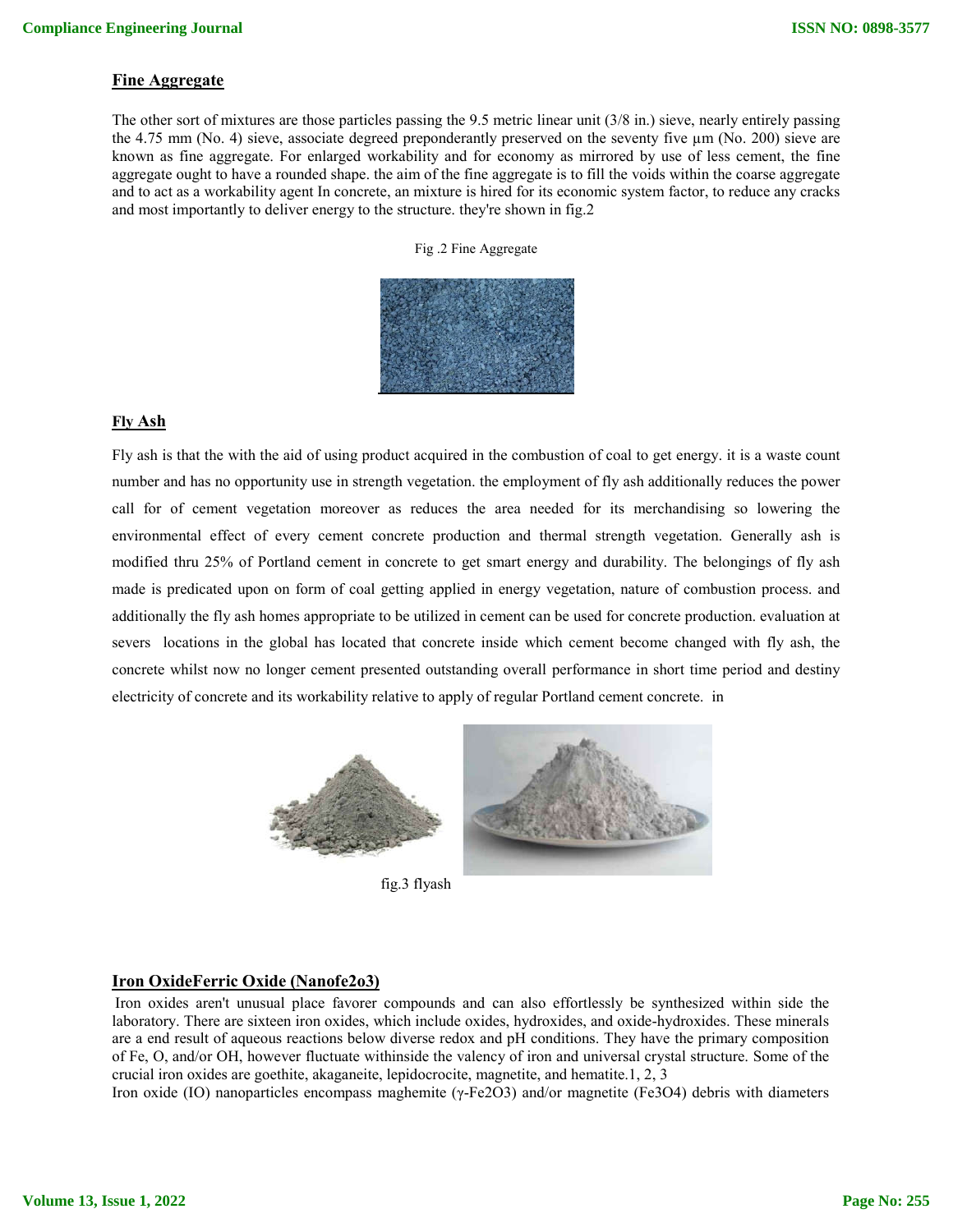# **Fine Aggregate**

The other sort of mixtures are those particles passing the 9.5 metric linear unit (3/8 in.) sieve, nearly entirely passing the 4.75 mm (No. 4) sieve, associate degreed preponderantly preserved on the seventy five  $\mu$ m (No. 200) sieve are known as fine aggregate. For enlarged workability and for economy as mirrored by use of less cement, the fine aggregate ought to have a rounded shape. the aim of the fine aggregate is to fill the voids within the coarse aggregate and to act as a workability agent In concrete, an mixture is hired for its economic system factor, to reduce any cracks and most importantly to deliver energy to the structure. they're shown in fig.2

|  |  |  | Fig.2 Fine Aggregate |
|--|--|--|----------------------|
|--|--|--|----------------------|



#### **Fly Ash**

Fly ash is that the with the aid of using product acquired in the combustion of coal to get energy. it is a waste count number and has no opportunity use in strength vegetation. the employment of fly ash additionally reduces the power call for of cement vegetation moreover as reduces the area needed for its merchandising so lowering the environmental effect of every cement concrete production and thermal strength vegetation. Generally ash is modified thru 25% of Portland cement in concrete to get smart energy and durability. The belongings of fly ash made is predicated upon on form of coal getting applied in energy vegetation, nature of combustion process. and additionally the fly ash homes appropriate to be utilized in cement can be used for concrete production. evaluation at severs locations in the global has located that concrete inside which cement become changed with fly ash, the concrete whilst now no longer cement presented outstanding overall performance in short time period and destiny electricity of concrete and its workability relative to apply of regular Portland cement concrete. in



fig.3 flyash

# **Iron OxideFerric Oxide (Nanofe2o3)**

Iron oxides aren't unusual place favorer compounds and can also effortlessly be synthesized within side the laboratory. There are sixteen iron oxides, which include oxides, hydroxides, and oxide-hydroxides. These minerals are a end result of aqueous reactions below diverse redox and pH conditions. They have the primary composition of Fe, O, and/or OH, however fluctuate withinside the valency of iron and universal crystal structure. Some of the crucial iron oxides are goethite, akaganeite, lepidocrocite, magnetite, and hematite.1, 2, 3

Iron oxide (IO) nanoparticles encompass maghemite (γ-Fe2O3) and/or magnetite (Fe3O4) debris with diameters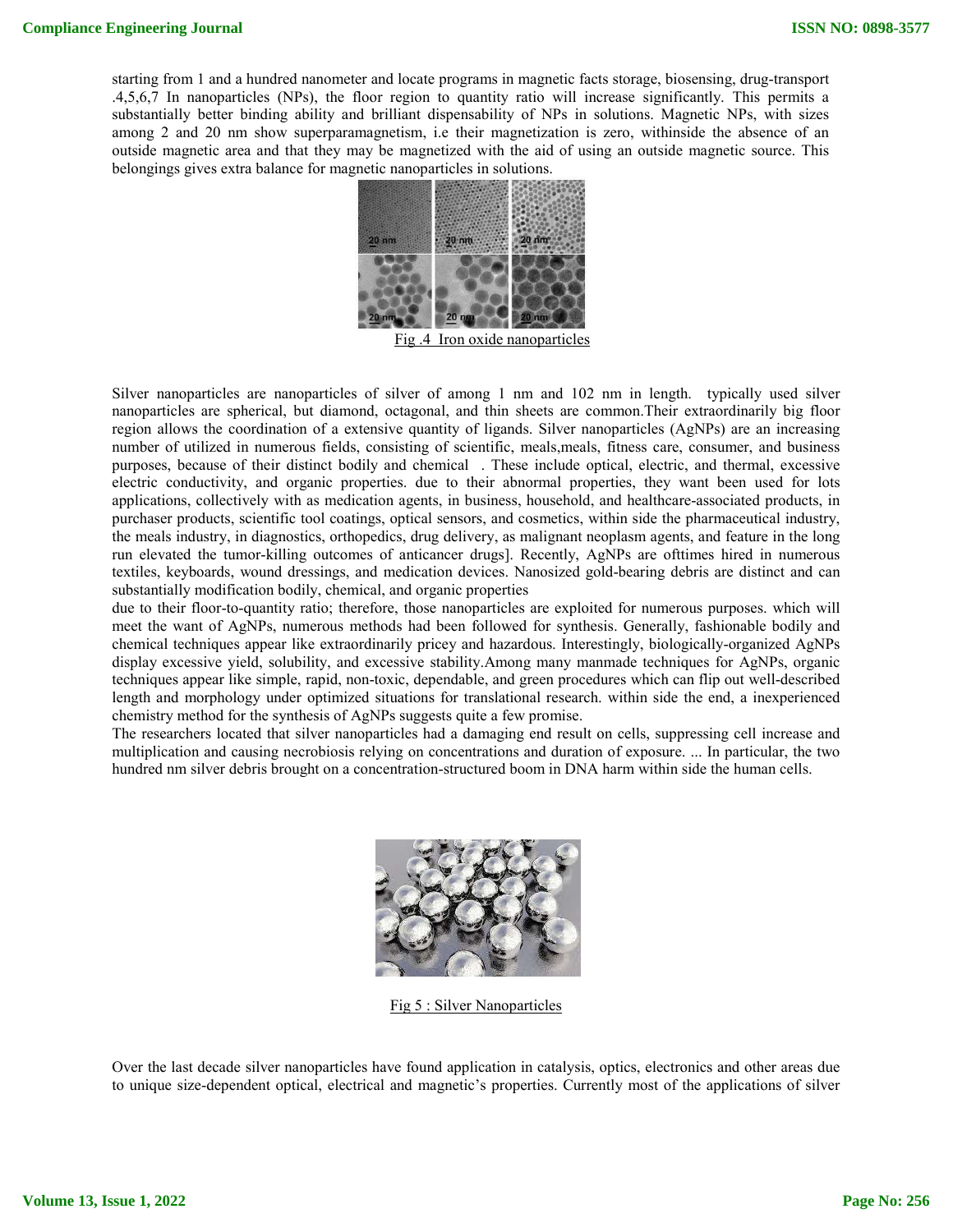starting from 1 and a hundred nanometer and locate programs in magnetic facts storage, biosensing, drug-transport .4,5,6,7 In nanoparticles (NPs), the floor region to quantity ratio will increase significantly. This permits a substantially better binding ability and brilliant dispensability of NPs in solutions. Magnetic NPs, with sizes among 2 and 20 nm show superparamagnetism, i.e their magnetization is zero, withinside the absence of an outside magnetic area and that they may be magnetized with the aid of using an outside magnetic source. This belongings gives extra balance for magnetic nanoparticles in solutions.



Fig .4 Iron oxide nanoparticles

Silver nanoparticles are nanoparticles of silver of among 1 nm and 102 nm in length. typically used silver nanoparticles are spherical, but diamond, octagonal, and thin sheets are common.Their extraordinarily big floor region allows the coordination of a extensive quantity of ligands. Silver nanoparticles (AgNPs) are an increasing number of utilized in numerous fields, consisting of scientific, meals,meals, fitness care, consumer, and business purposes, because of their distinct bodily and chemical . These include optical, electric, and thermal, excessive electric conductivity, and organic properties. due to their abnormal properties, they want been used for lots applications, collectively with as medication agents, in business, household, and healthcare-associated products, in purchaser products, scientific tool coatings, optical sensors, and cosmetics, within side the pharmaceutical industry, the meals industry, in diagnostics, orthopedics, drug delivery, as malignant neoplasm agents, and feature in the long run elevated the tumor-killing outcomes of anticancer drugs]. Recently, AgNPs are ofttimes hired in numerous textiles, keyboards, wound dressings, and medication devices. Nanosized gold-bearing debris are distinct and can substantially modification bodily, chemical, and organic properties

due to their floor-to-quantity ratio; therefore, those nanoparticles are exploited for numerous purposes. which will meet the want of AgNPs, numerous methods had been followed for synthesis. Generally, fashionable bodily and chemical techniques appear like extraordinarily pricey and hazardous. Interestingly, biologically-organized AgNPs display excessive yield, solubility, and excessive stability.Among many manmade techniques for AgNPs, organic techniques appear like simple, rapid, non-toxic, dependable, and green procedures which can flip out well-described length and morphology under optimized situations for translational research. within side the end, a inexperienced chemistry method for the synthesis of AgNPs suggests quite a few promise.

The researchers located that silver nanoparticles had a damaging end result on cells, suppressing cell increase and multiplication and causing necrobiosis relying on concentrations and duration of exposure. ... In particular, the two hundred nm silver debris brought on a concentration-structured boom in DNA harm within side the human cells.



Fig 5 : Silver Nanoparticles

Over the last decade silver nanoparticles have found application in catalysis, optics, electronics and other areas due to unique size-dependent optical, electrical and magnetic's properties. Currently most of the applications of silver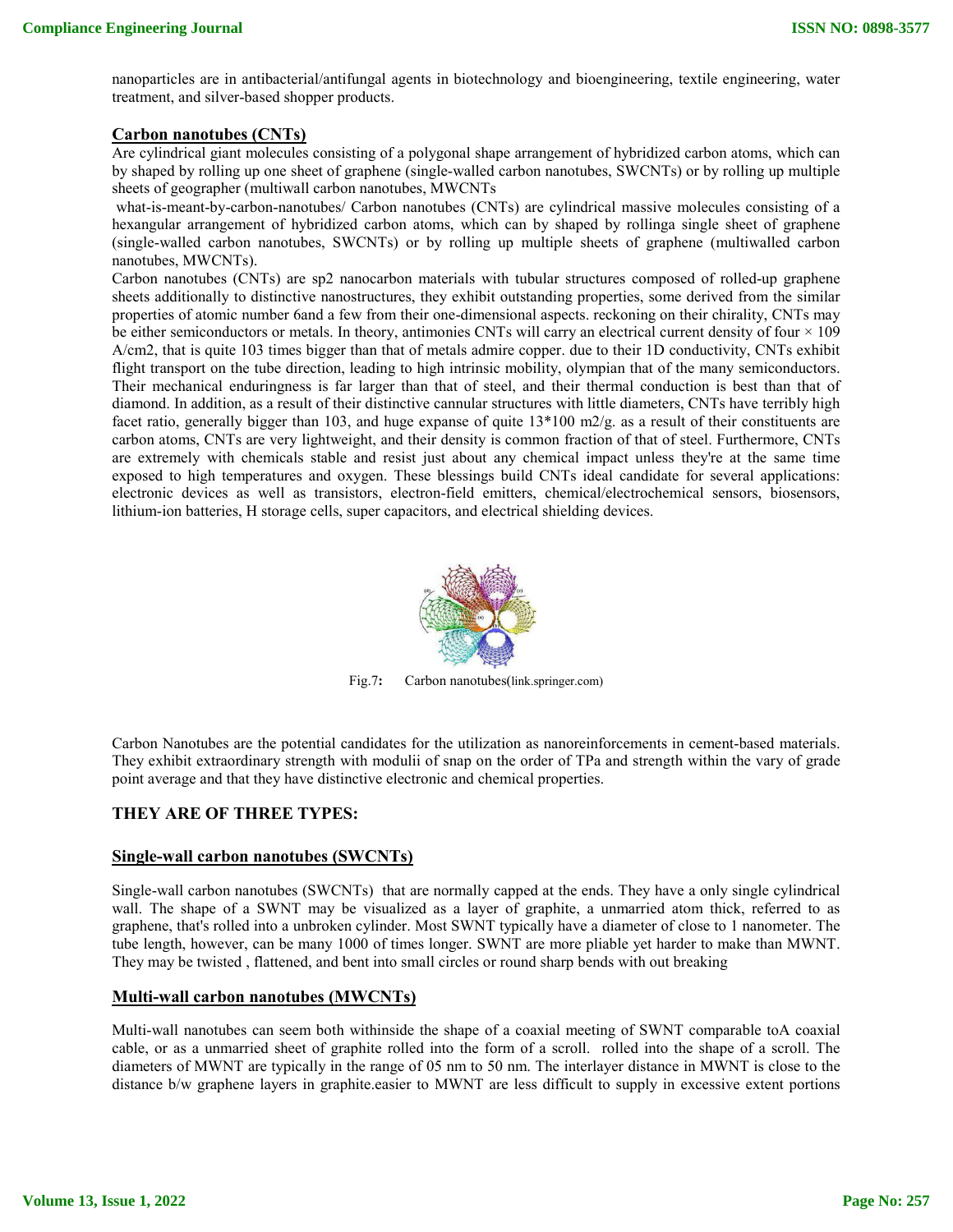nanoparticles are in antibacterial/antifungal agents in biotechnology and bioengineering, textile engineering, water treatment, and silver-based shopper products.

# **Carbon nanotubes (CNTs)**

Are cylindrical giant molecules consisting of a polygonal shape arrangement of hybridized carbon atoms, which can by shaped by rolling up one sheet of graphene (single-walled carbon nanotubes, SWCNTs) or by rolling up multiple sheets of geographer (multiwall carbon nanotubes, MWCNTs

what-is-meant-by-carbon-nanotubes/ Carbon nanotubes (CNTs) are cylindrical massive molecules consisting of a hexangular arrangement of hybridized carbon atoms, which can by shaped by rollinga single sheet of graphene (single-walled carbon nanotubes, SWCNTs) or by rolling up multiple sheets of graphene (multiwalled carbon nanotubes, MWCNTs).

Carbon nanotubes (CNTs) are sp2 nanocarbon materials with tubular structures composed of rolled-up graphene sheets additionally to distinctive nanostructures, they exhibit outstanding properties, some derived from the similar properties of atomic number 6and a few from their one-dimensional aspects. reckoning on their chirality, CNTs may be either semiconductors or metals. In theory, antimonies CNTs will carry an electrical current density of four  $\times$  109 A/cm2, that is quite 103 times bigger than that of metals admire copper. due to their 1D conductivity, CNTs exhibit flight transport on the tube direction, leading to high intrinsic mobility, olympian that of the many semiconductors. Their mechanical enduringness is far larger than that of steel, and their thermal conduction is best than that of diamond. In addition, as a result of their distinctive cannular structures with little diameters, CNTs have terribly high facet ratio, generally bigger than 103, and huge expanse of quite  $13*100$  m $2/g$ , as a result of their constituents are carbon atoms, CNTs are very lightweight, and their density is common fraction of that of steel. Furthermore, CNTs are extremely with chemicals stable and resist just about any chemical impact unless they're at the same time exposed to high temperatures and oxygen. These blessings build CNTs ideal candidate for several applications: electronic devices as well as transistors, electron-field emitters, chemical/electrochemical sensors, biosensors, lithium-ion batteries, H storage cells, super capacitors, and electrical shielding devices.



Fig.7**:** Carbon nanotubes(link.springer.com)

Carbon Nanotubes are the potential candidates for the utilization as nanoreinforcements in cement-based materials. They exhibit extraordinary strength with modulii of snap on the order of TPa and strength within the vary of grade point average and that they have distinctive electronic and chemical properties.

# **THEY ARE OF THREE TYPES:**

# **Single-wall carbon nanotubes (SWCNTs)**

Single-wall carbon nanotubes (SWCNTs) that are normally capped at the ends. They have a only single cylindrical wall. The shape of a SWNT may be visualized as a layer of graphite, a unmarried atom thick, referred to as graphene, that's rolled into a unbroken cylinder. Most SWNT typically have a diameter of close to 1 nanometer. The tube length, however, can be many 1000 of times longer. SWNT are more pliable yet harder to make than MWNT. They may be twisted , flattened, and bent into small circles or round sharp bends with out breaking

# **Multi-wall carbon nanotubes (MWCNTs)**

Multi-wall nanotubes can seem both withinside the shape of a coaxial meeting of SWNT comparable toA coaxial cable, or as a unmarried sheet of graphite rolled into the form of a scroll. rolled into the shape of a scroll. The diameters of MWNT are typically in the range of 05 nm to 50 nm. The interlayer distance in MWNT is close to the distance b/w graphene layers in graphite.easier to MWNT are less difficult to supply in excessive extent portions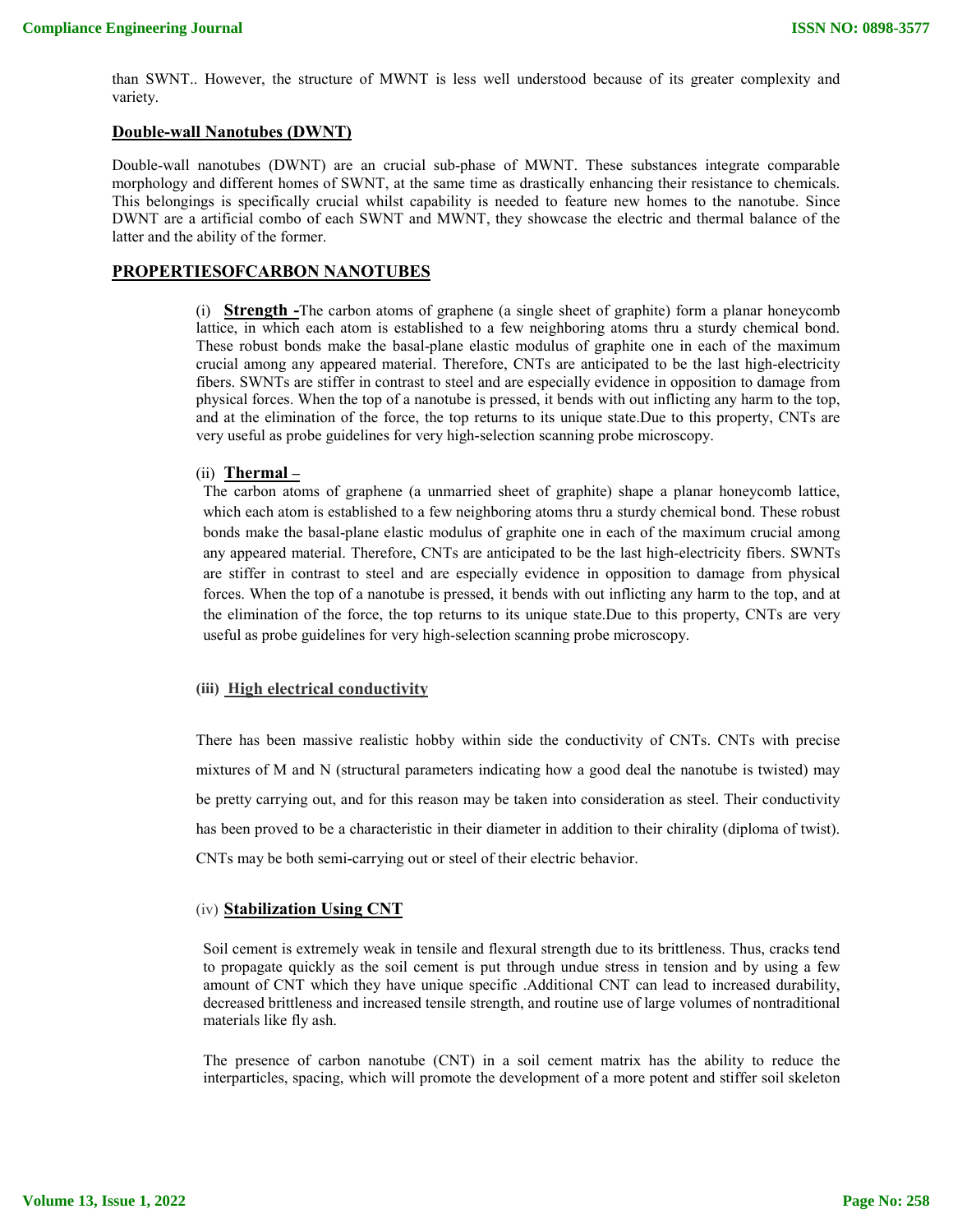than SWNT.. However, the structure of MWNT is less well understood because of its greater complexity and variety.

#### **Double-wall Nanotubes (DWNT)**

Double-wall nanotubes (DWNT) are an crucial sub-phase of MWNT. These substances integrate comparable morphology and different homes of SWNT, at the same time as drastically enhancing their resistance to chemicals. This belongings is specifically crucial whilst capability is needed to feature new homes to the nanotube. Since DWNT are a artificial combo of each SWNT and MWNT, they showcase the electric and thermal balance of the latter and the ability of the former.

# **PROPERTIESOFCARBON NANOTUBES**

(i) **Strength -**The carbon atoms of graphene (a single sheet of graphite) form a planar honeycomb lattice, in which each atom is established to a few neighboring atoms thru a sturdy chemical bond. These robust bonds make the basal-plane elastic modulus of graphite one in each of the maximum crucial among any appeared material. Therefore, CNTs are anticipated to be the last high-electricity fibers. SWNTs are stiffer in contrast to steel and are especially evidence in opposition to damage from physical forces. When the top of a nanotube is pressed, it bends with out inflicting any harm to the top, and at the elimination of the force, the top returns to its unique state.Due to this property, CNTs are very useful as probe guidelines for very high-selection scanning probe microscopy.

# (ii) **Thermal –**

The carbon atoms of graphene (a unmarried sheet of graphite) shape a planar honeycomb lattice, which each atom is established to a few neighboring atoms thru a sturdy chemical bond. These robust bonds make the basal-plane elastic modulus of graphite one in each of the maximum crucial among any appeared material. Therefore, CNTs are anticipated to be the last high-electricity fibers. SWNTs are stiffer in contrast to steel and are especially evidence in opposition to damage from physical forces. When the top of a nanotube is pressed, it bends with out inflicting any harm to the top, and at the elimination of the force, the top returns to its unique state.Due to this property, CNTs are very useful as probe guidelines for very high-selection scanning probe microscopy.

#### **(iii) High electrical conductivity**

There has been massive realistic hobby within side the conductivity of CNTs. CNTs with precise mixtures of M and N (structural parameters indicating how a good deal the nanotube is twisted) may be pretty carrying out, and for this reason may be taken into consideration as steel. Their conductivity has been proved to be a characteristic in their diameter in addition to their chirality (diploma of twist). CNTs may be both semi-carrying out or steel of their electric behavior.

#### (iv) **Stabilization Using CNT**

Soil cement is extremely weak in tensile and flexural strength due to its brittleness. Thus, cracks tend to propagate quickly as the soil cement is put through undue stress in tension and by using a few amount of CNT which they have unique specific .Additional CNT can lead to increased durability, decreased brittleness and increased tensile strength, and routine use of large volumes of nontraditional materials like fly ash.

The presence of carbon nanotube (CNT) in a soil cement matrix has the ability to reduce the interparticles, spacing, which will promote the development of a more potent and stiffer soil skeleton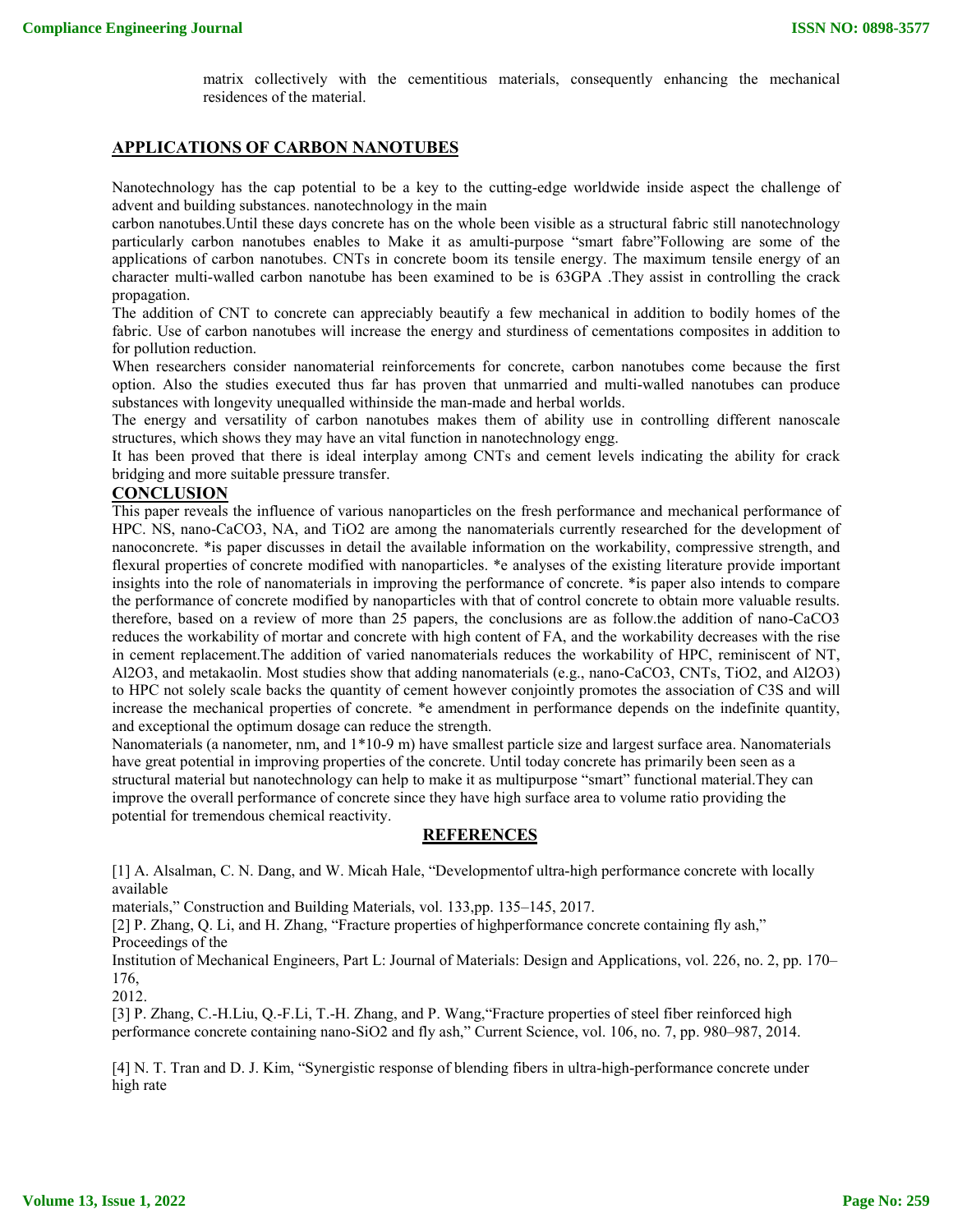matrix collectively with the cementitious materials, consequently enhancing the mechanical residences of the material.

## **APPLICATIONS OF CARBON NANOTUBES**

Nanotechnology has the cap potential to be a key to the cutting-edge worldwide inside aspect the challenge of advent and building substances. nanotechnology in the main

carbon nanotubes.Until these days concrete has on the whole been visible as a structural fabric still nanotechnology particularly carbon nanotubes enables to Make it as amulti-purpose "smart fabre"Following are some of the applications of carbon nanotubes. CNTs in concrete boom its tensile energy. The maximum tensile energy of an character multi-walled carbon nanotube has been examined to be is 63GPA .They assist in controlling the crack propagation.

The addition of CNT to concrete can appreciably beautify a few mechanical in addition to bodily homes of the fabric. Use of carbon nanotubes will increase the energy and sturdiness of cementations composites in addition to for pollution reduction.

When researchers consider nanomaterial reinforcements for concrete, carbon nanotubes come because the first option. Also the studies executed thus far has proven that unmarried and multi-walled nanotubes can produce substances with longevity unequalled withinside the man-made and herbal worlds.

The energy and versatility of carbon nanotubes makes them of ability use in controlling different nanoscale structures, which shows they may have an vital function in nanotechnology engg.

It has been proved that there is ideal interplay among CNTs and cement levels indicating the ability for crack bridging and more suitable pressure transfer.

# **CONCLUSION**

This paper reveals the influence of various nanoparticles on the fresh performance and mechanical performance of HPC. NS, nano-CaCO3, NA, and TiO2 are among the nanomaterials currently researched for the development of nanoconcrete. \*is paper discusses in detail the available information on the workability, compressive strength, and flexural properties of concrete modified with nanoparticles. \*e analyses of the existing literature provide important insights into the role of nanomaterials in improving the performance of concrete. \*is paper also intends to compare the performance of concrete modified by nanoparticles with that of control concrete to obtain more valuable results. therefore, based on a review of more than 25 papers, the conclusions are as follow.the addition of nano-CaCO3 reduces the workability of mortar and concrete with high content of FA, and the workability decreases with the rise in cement replacement.The addition of varied nanomaterials reduces the workability of HPC, reminiscent of NT, Al2O3, and metakaolin. Most studies show that adding nanomaterials (e.g., nano-CaCO3, CNTs, TiO2, and Al2O3) to HPC not solely scale backs the quantity of cement however conjointly promotes the association of C3S and will increase the mechanical properties of concrete. \*e amendment in performance depends on the indefinite quantity, and exceptional the optimum dosage can reduce the strength.

Nanomaterials (a nanometer, nm, and 1\*10-9 m) have smallest particle size and largest surface area. Nanomaterials have great potential in improving properties of the concrete. Until today concrete has primarily been seen as a structural material but nanotechnology can help to make it as multipurpose "smart" functional material.They can improve the overall performance of concrete since they have high surface area to volume ratio providing the potential for tremendous chemical reactivity.

# **REFERENCES**

[1] A. Alsalman, C. N. Dang, and W. Micah Hale, "Developmentof ultra-high performance concrete with locally available

materials," Construction and Building Materials, vol. 133,pp. 135–145, 2017.

[2] P. Zhang, Q. Li, and H. Zhang, "Fracture properties of highperformance concrete containing fly ash," Proceedings of the

Institution of Mechanical Engineers, Part L: Journal of Materials: Design and Applications, vol. 226, no. 2, pp. 170– 176,

2012.

[3] P. Zhang, C.-H.Liu, Q.-F.Li, T.-H. Zhang, and P. Wang,"Fracture properties of steel fiber reinforced high performance concrete containing nano-SiO2 and fly ash," Current Science, vol. 106, no. 7, pp. 980–987, 2014.

[4] N. T. Tran and D. J. Kim, "Synergistic response of blending fibers in ultra-high-performance concrete under high rate